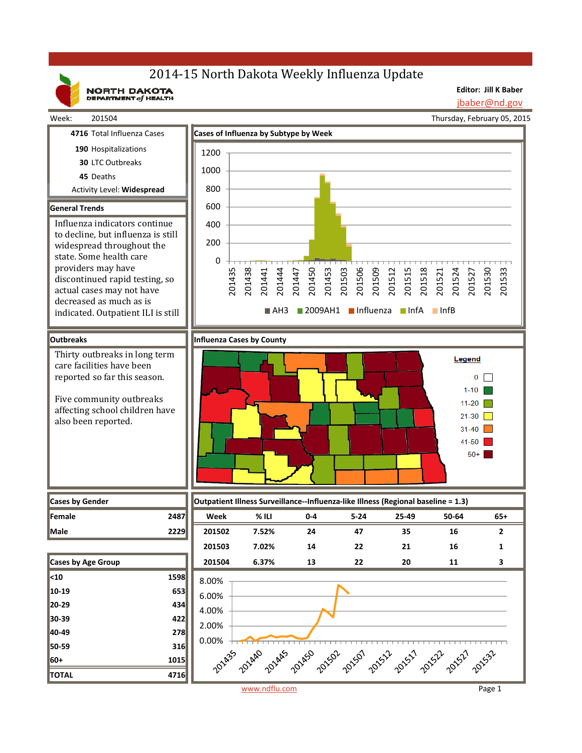# 2014-15 North Dakota Weekly Influenza Update

NORTH DAKOTA

**Editor: Jill K Baber**

jbaber@nd.gov



www.ndflu.com Page 1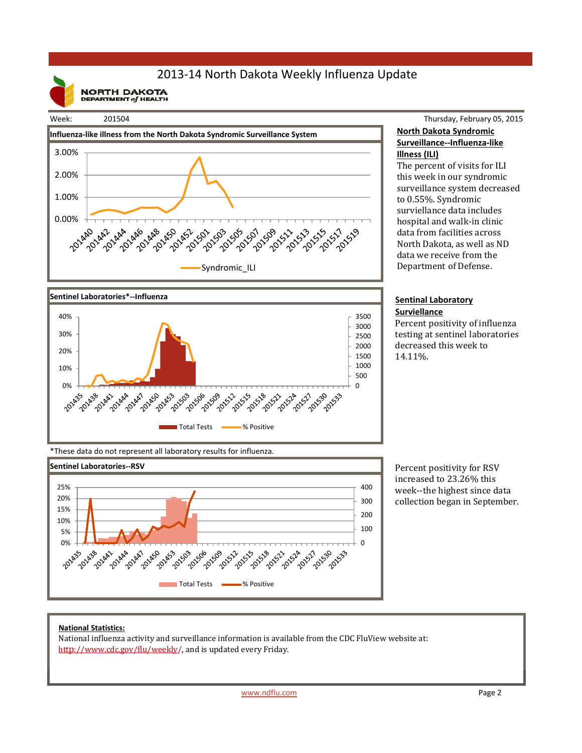## 2013‐14 North Dakota Weekly Influenza Update

**NORTH DAKOTA**<br>DEPARTMENT of HEALTH







Thursday, February 05, 2015 **North Dakota Syndromic Surveillance‐‐Influenza‐like Illness (ILI)**

The percent of visits for ILI this week in our syndromic surveillance system decreased to 0.55%. Syndromic surviellance data includes hospital and walk-in clinic data from facilities across North Dakota, as well as ND data we receive from the Department of Defense.

#### **Sentinal Laboratory Surviellance**

Percent positivity of influenza testing at sentinel laboratories decreased this week to 14.11%. 

\*These data do not represent all laboratory results for influenza.



Percent positivity for RSV increased to 23.26% this week--the highest since data collection began in September.

### **National Statistics:**

National influenza activity and surveillance information is available from the CDC FluView website at: http://www.cdc.gov/flu/weekly/, and is updated every Friday.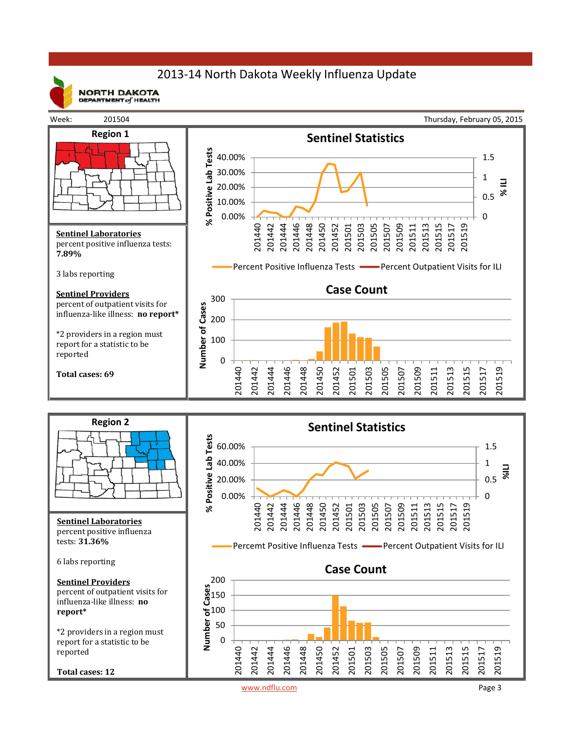## 2013‐14 North Dakota Weekly Influenza Update



**NORTH DAKOTA** DEPARTMENT  $of$  HEALTH